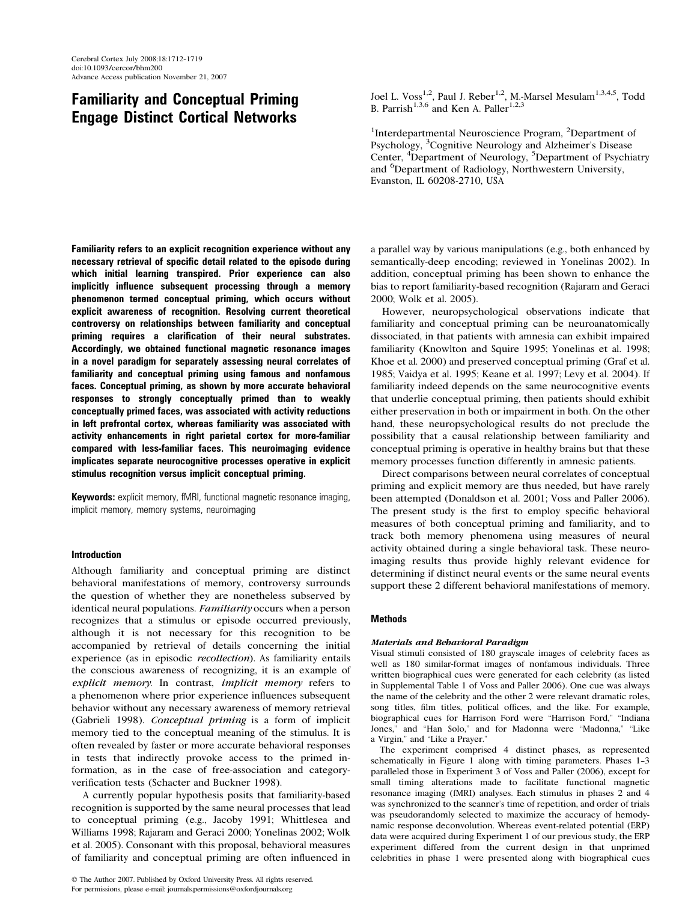# Familiarity and Conceptual Priming Engage Distinct Cortical Networks

Familiarity refers to an explicit recognition experience without any necessary retrieval of specific detail related to the episode during which initial learning transpired. Prior experience can also implicitly influence subsequent processing through a memory phenomenon termed conceptual priming, which occurs without explicit awareness of recognition. Resolving current theoretical controversy on relationships between familiarity and conceptual priming requires a clarification of their neural substrates. Accordingly, we obtained functional magnetic resonance images in a novel paradigm for separately assessing neural correlates of familiarity and conceptual priming using famous and nonfamous faces. Conceptual priming, as shown by more accurate behavioral responses to strongly conceptually primed than to weakly conceptually primed faces, was associated with activity reductions in left prefrontal cortex, whereas familiarity was associated with activity enhancements in right parietal cortex for more-familiar compared with less-familiar faces. This neuroimaging evidence implicates separate neurocognitive processes operative in explicit stimulus recognition versus implicit conceptual priming.

**Keywords:** explicit memory, fMRI, functional magnetic resonance imaging, implicit memory, memory systems, neuroimaging

## Introduction

Although familiarity and conceptual priming are distinct behavioral manifestations of memory, controversy surround<sup>s</sup> the question of whether they are nonetheless subserved by identical neural populations. Familiarity occurs when a person recognizes that a stimulus or episode occurred previously, although it i<sup>s</sup> not necessary for thi<sup>s</sup> recognition to be accompanied by retrieval of detail<sup>s</sup> concerning the initial experience (a<sup>s</sup> i<sup>n</sup> episodic recollection). A<sup>s</sup> familiarity entail<sup>s</sup> the conscious awareness of recognizing, it i<sup>s</sup> an example of explicit memory. In contrast, implicit memory refers to a phenomenon where prior experience influences subsequent behavior without any necessary awareness of memory retrieval (Gabrieli 1998). Conceptual priming i<sup>s</sup> a for<sup>m</sup> <sup>o</sup>f implicit memory tied to the conceptual meaning of the stimulus. It i<sup>s</sup> often revealed by faster or more accurate behavioral responses in tests that indirectly provoke access to the primed information, a<sup>s</sup> in the case of free-association and categoryverification tests (Schacter and Buckner 1998).

A currently popular hypothesi<sup>s</sup> posits that familiarity-based recognition i<sup>s</sup> supported by the <sup>s</sup>ame neural processes that lead to conceptual priming (e.g., Jacoby 1991; Whittlesea and Williams 1998; Rajaram and Geraci 2000; Yonelina<sup>s</sup> 2002; Wolk et al. 2005). Consonant with thi<sup>s</sup> proposal, behavioral measures of familiarity and conceptual priming are often influenced in

 $©$  The Author 2007. Published by Oxford University Press. All rights reserved. For permissions, please e-mail: journals.permissions@oxfordjournals.or<sup>g</sup>

Joel L. Voss<sup>1,2</sup>, Paul J. Reber<sup>1,2</sup>, M.-Marsel Mesulam<sup>1,3,4,5</sup>, Todd B. Parrish<sup>1,3,6</sup> and Ken A. Paller<sup>1,2,3</sup>

<sup>1</sup>Interdepartmental Neuroscience Program,  ${}^{2}$ Department of Psychology, <sup>3</sup>Cognitive Neurology and Alzheimer'<sup>s</sup> Disease Center, <sup>4</sup>Department of Neurology, <sup>5</sup>Department of Psychiatry and <sup>6</sup>Department of Radiology, Northwestern University, Evanston, IL 60208-2710, USA

a parallel way by various manipulations (e.g., both enhanced by semantically-deep encoding; reviewed in Yonelina<sup>s</sup> 2002). In addition, conceptual priming ha<sup>s</sup> been shown to enhance the bia<sup>s</sup> to report familiarity-based recognition (Rajaram and Geraci 2000; Wolk et al. 2005).

However, neuropsychological observations indicate that familiarity and conceptual priming can be neuroanatomically dissociated, in that patients with amnesia can exhibit impaired familiarity (Knowlton and Squire 1995; Yonelina<sup>s</sup> et al. 1998; Khoe et al. 2000) and preserved conceptual priming (Graf et al. 1985; Vaidya et al. 1995; Keane et al. 1997; Levy et al. 2004). If familiarity indeed depend<sup>s</sup> on the <sup>s</sup>ame neurocognitive events that underlie conceptual priming, then patients should exhibit either preservation in both or impairment in both. On the other hand, these neuropsychological results do not preclude the possibility that a causal relationship between familiarity and conceptual priming i<sup>s</sup> operative in healthy brains but that these memory processes function differently in amnesic patients.

Direct comparisons between neural correlates of conceptual priming and explicit memory are thus needed, but have rarely been attempted (Donaldson et al. 2001; Voss and Paller 2006). The present study i<sup>s</sup> the first to employ specific behavioral measures of both conceptual priming and familiarity, and to track both memory phenomena using measures of neural activity obtained during a <sup>s</sup>ingle behavioral task. These neuroimaging results thus provide highly relevant evidence for determining if distinct neural events or the <sup>s</sup>ame neural events support these 2 different behavioral manifestations of memory.

## **Methods**

## Materials and Behavioral Paradigm

Visual stimuli consisted of 180 <sup>g</sup>rayscale images of celebrity faces a<sup>s</sup> well a<sup>s</sup> 180 <sup>s</sup>imilar-format images of nonfamous individuals. Three written biographical cues were generated for each celebrity (a<sup>s</sup> listed in Supplemental Table 1 of Voss and Paller 2006). One cue wa<sup>s</sup> alway<sup>s</sup> the name of the celebrity and the other 2 were relevant dramatic roles, song titles, film titles, political offices, and the like. For example, biographical cues for Harrison Ford were ''Harrison Ford,'' ''Indiana Jones," and "Han Solo," and for Madonna were "Madonna," "Like a Virgin,'' and ''Like a Prayer.''

The experiment comprised 4 distinct phases, a<sup>s</sup> represented schematically in Figure 1 along with timing parameters. Phases 1-3 paralleled those in Experiment 3 of Voss and Paller (2006), except for small timing alterations made to facilitate functional magnetic resonance imaging (fMRI) analyses. Each stimulus in phases 2 and 4 wa<sup>s</sup> <sup>s</sup>ynchronized to the scanner'<sup>s</sup> time of repetition, and order of trial<sup>s</sup> wa<sup>s</sup> pseudorandomly selected to maximize the accuracy of hemodynamic response deconvolution. Wherea<sup>s</sup> event-related potential (ERP) data were acquired during Experiment 1 of our previous study, the ERP experiment differed from the current design in that unprimed celebrities in phase 1 were presented along with biographical cues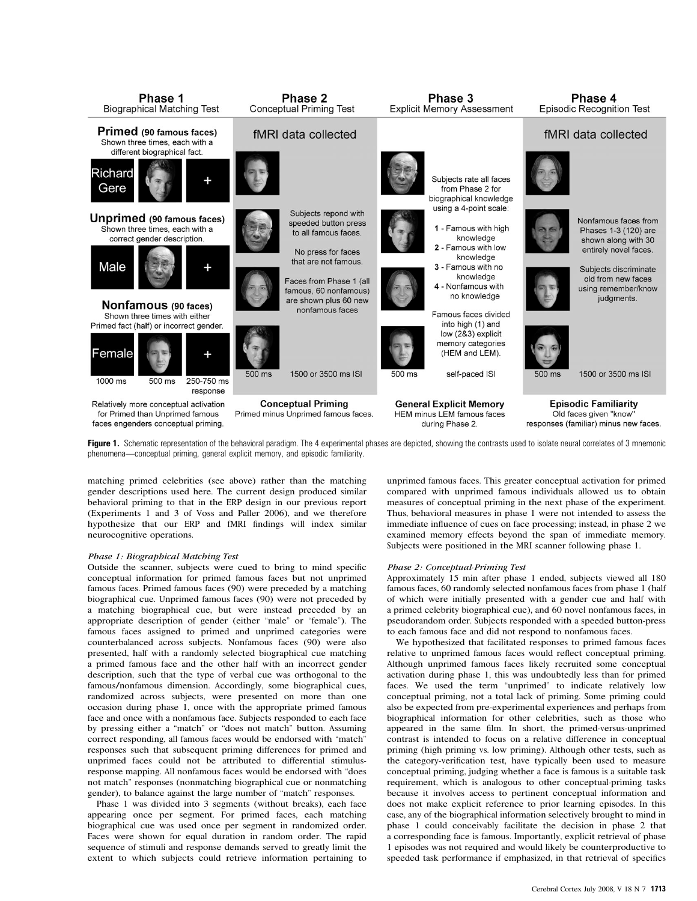

Figure 1. Schematic representation of the behavioral paradigm. The 4 experimental phases are depicted, showing the contrasts used to isolate neural correlates of 3 mnemonic phenomena—conceptual priming, general explicit memory, and episodic familiarity.

matching primed celebrities (see above) rather than the matching gender descriptions used here. The current design produced <sup>s</sup>imilar behavioral priming to that in the ERP design in our previous report (Experiments 1 and 3 of Voss and Paller 2006), and we therefore hypothesize that our ERP and fMRI findings will index <sup>s</sup>imilar neurocognitive operations.

#### Phase 1: Biographical Matching Test

Outside the scanner, subjects were cued to bring to mind specific conceptual information for primed famous faces but not unprimed famous faces. Primed famous faces (90) were preceded by a matching biographical cue. Unprimed famous faces (90) were not preceded by a matching biographical cue, but were instead preceded by an appropriate description of gender (either "male" or "female"). The famous faces assigned to primed and unprimed categories were counterbalanced across subjects. Nonfamous faces (90) were also presented, half with a randomly selected biographical cue matching a primed famous face and the other half with an incorrect gender description, such that the type of verbal cue wa<sup>s</sup> orthogonal to the famous/nonfamous dimension. Accordingly, some biographical cues, randomized across subjects, were presented on more than one occasion during phase 1, once with the appropriate primed famous face and once with a nonfamous face. Subjects responded to each face by pressing either a ''match'' or ''does not match'' button. Assuming correct responding, all famous faces would be endorsed with ''match'' responses such that subsequent priming differences for primed and unprimed faces could not be attributed to differential stimulusresponse mapping. All nonfamous faces would be endorsed with ''does not match'' responses (nonmatching biographical cue or nonmatching gender), to balance against the large number of ''match'' responses.

Phase 1 wa<sup>s</sup> divided into 3 segments (without breaks), each face appearing once per segment. For primed faces, each matching biographical cue wa<sup>s</sup> used once per segment in randomized order. Faces were shown for equal duration in random order. The rapid sequence of stimuli and response demand<sup>s</sup> served to <sup>g</sup>reatly limit the extent to which subjects could retrieve information pertaining to

unprimed famous faces. Thi<sup>s</sup> <sup>g</sup>reater conceptual activation for primed compared with unprimed famous individual<sup>s</sup> allowed us to obtain measures of conceptual priming in the next phase of the experiment. Thus, behavioral measures in phase 1 were not intended to assess the immediate influence of cues on face processing; instead, in phase 2 we examined memory effects beyond the span of immediate memory. Subjects were positioned in the MRI scanner following phase 1.

#### Phase 2: Conceptual-Priming Test

Approximately 15 min after phase 1 ended, subjects viewed all 180 famous faces, 60 randomly selected nonfamous faces from phase 1 (half of which were initially presented with a gender cue and half with a primed celebrity biographical cue), and 60 novel nonfamous faces, in pseudorandom order. Subjects responded with a speeded button-press to each famous face and did not respond to nonfamous faces.

We hypothesized that facilitated responses to primed famous faces relative to unprimed famous faces would reflect conceptual priming. Although unprimed famous faces likely recruited some conceptual activation during phase 1, thi<sup>s</sup> wa<sup>s</sup> undoubtedly less than for primed faces. We used the term ''unprimed'' to indicate relatively low conceptual priming, not a total lack of priming. Some priming could also be expected from pre-experimental experiences and perhaps from biographical information for other celebrities, such a<sup>s</sup> those who appeared in the <sup>s</sup>ame film. In short, the primed-versus-unprimed contrast i<sup>s</sup> intended to focus on a relative difference in conceptual priming (high priming vs. low priming). Although other tests, such a<sup>s</sup> the category-verification test, have typically been used to measure conceptual priming, judging whether a face i<sup>s</sup> famous i<sup>s</sup> a suitable task requirement, which i<sup>s</sup> analogous to other conceptual-priming task<sup>s</sup> because it involves access to pertinent conceptual information and does not make explicit reference to prior learning episodes. In thi<sup>s</sup> case, any of the biographical information selectively brought to mind in phase 1 could conceivably facilitate the decision in phase 2 that a corresponding face i<sup>s</sup> famous. Importantly, explicit retrieval of phase 1 episodes wa<sup>s</sup> not required and would likely be counterproductive to speeded task performance if emphasized, in that retrieval of specifics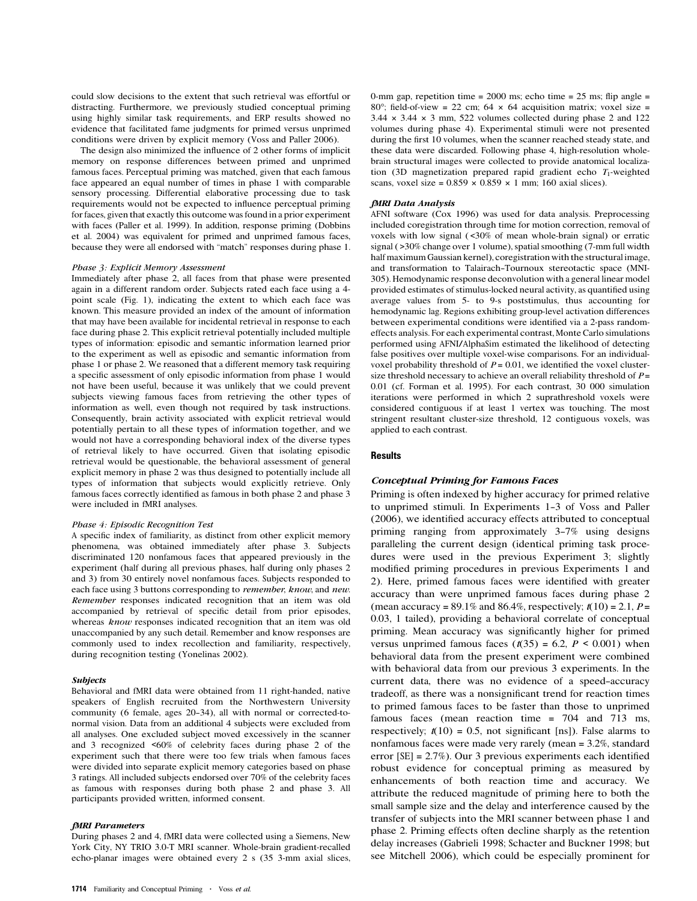could <sup>s</sup>low decisions to the extent that such retrieval wa<sup>s</sup> effortful or distracting. Furthermore, we previously studied conceptual priming using highly <sup>s</sup>imilar task requirements, and ERP results showed no evidence that facilitated fame judgments for primed versus unprimed conditions were driven by explicit memory (Voss and Paller 2006).

The design also minimized the influence of 2 other forms of implicit memory on response differences between primed and unprimed famous faces. Perceptual priming wa<sup>s</sup> matched, <sup>g</sup>iven that each famous face appeared an equal number of times in phase 1 with comparable sensory processing. Differential elaborative processing due to task requirements would not be expected to influence perceptual priming for faces, <sup>g</sup>iven that exactly thi<sup>s</sup> outcome wa<sup>s</sup> found in a prior experiment with faces (Paller et al. 1999). In addition, response priming (Dobbins et al. 2004) wa<sup>s</sup> equivalent for primed and unprimed famous faces, because they were all endorsed with ''match'' responses during phase 1.

#### Phase 3: Explicit Memory Assessment

Immediately after phase 2, all faces from that phase were presented again in a different random order. Subjects rated each face using a 4 point scale (Fig. 1), indicating the extent to which each face wa<sup>s</sup> known. Thi<sup>s</sup> measure provided an index of the amount of information that may have been available for incidental retrieval in response to each face during phase 2. Thi<sup>s</sup> explicit retrieval potentially included multiple types of information: episodic and semantic information learned prior to the experiment a<sup>s</sup> well a<sup>s</sup> episodic and semantic information from phase 1 or phase 2. We reasoned that a different memory task requiring a specific assessment of only episodic information from phase 1 would not have been useful, because it wa<sup>s</sup> unlikely that we could prevent subjects viewing famous faces from retrieving the other types of information a<sup>s</sup> well, even though not required by task instructions. Consequently, brain activity associated with explicit retrieval would potentially pertain to all these types of information together, and we would not have a corresponding behavioral index of the diverse types of retrieval likely to have occurred. Given that isolating episodic retrieval would be questionable, the behavioral assessment of general explicit memory in phase 2 wa<sup>s</sup> thus designed to potentially include all types of information that subjects would explicitly retrieve. Only famous faces correctly identified a<sup>s</sup> famous in both phase 2 and phase 3 were included in fMRI analyses.

## Phase 4: Episodic Recognition Test

A specific index of familiarity, a<sup>s</sup> distinct from other explicit memory phenomena, wa<sup>s</sup> obtained immediately after phase 3. Subjects discriminated 120 nonfamous faces that appeared previously in the experiment (half during all previous phases, half during only phases 2 and 3) from 30 entirely novel nonfamous faces. Subjects responded to each face using 3 buttons corresponding to *remember*, know, and new. Remember responses indicated recognition that a<sup>n</sup> item <sup>w</sup>a<sup>s</sup> <sup>o</sup>ld accompanied by retrieval of specific detail from prior episodes, whereas *know* responses indicated recognition that an item was old unaccompanied by any such detail. Remember and know responses are commonly used to index recollection and familiarity, respectively, during recognition testing (Yonelina<sup>s</sup> 2002).

#### Subjects

Behavioral and fMRI data were obtained from 11 right-handed, native speaker<sup>s</sup> of English recruited from the Northwestern University community (6 female, ages 20-34), all with normal or corrected-tonormal vision. Data from an additional 4 subjects were excluded from all analyses. One excluded subject moved excessively in the scanner and 3 recognized <60% of celebrity faces during phase 2 of the experiment such that there were too few trial<sup>s</sup> when famous faces were divided into separate explicit memory categories based on phase 3 ratings. All included subjects endorsed over 70% of the celebrity faces a<sup>s</sup> famous with responses during both phase 2 and phase 3. All participants provided written, informed consent.

#### fMRI Parameters

During phases 2 and 4, fMRI data were collected using a Siemens, New York City, NY TRIO 3.0-T MRI scanner. Whole-brain <sup>g</sup>radient-recalled echo-planar images were obtained every 2 <sup>s</sup> (35 3-mm axial <sup>s</sup>lices,

0-mm gap, repetition time =  $2000$  ms; echo time =  $25$  ms; flip angle = 80°; field-of-view = 22 cm; 64  $\times$  64 acquisition matrix; voxel size =  $3.44 \times 3.44 \times 3$  mm, 522 volumes collected during phase 2 and 122 volumes during phase 4). Experimental stimuli were not presented during the first 10 volumes, when the scanner reached steady state, and these data were discarded. Following phase 4, high-resolution wholebrain structural images were collected to provide anatomical localization (3D magnetization prepared rapid gradient echo  $T_1$ -weighted scans, voxel size =  $0.859 \times 0.859 \times 1$  mm; 160 axial slices).

#### fMRI Data Analysis

AFNI software (Cox 1996) wa<sup>s</sup> used for data analysis. Preprocessing included coregistration through time for motion correction, removal of voxels with low signal (<30% of mean whole-brain signal) or erratic signal ( $>$ 30% change over 1 volume), spatial smoothing (7-mm full width half maximum Gaussian kernel), coregistration with the structural image, and transformation to Talairach--Tournoux stereotactic space (MNI-305). Hemodynamic response deconvolution with a general linear model provided estimates of stimulus-locked neural activity, a<sup>s</sup> quantified using average values from 5- to 9-<sup>s</sup> poststimulus, thus accounting for hemodynamic lag. Regions exhibiting <sup>g</sup>roup-level activation differences between experimental conditions were identified via a 2-pass randomeffects analysis. For each experimental contrast, Monte Carlo <sup>s</sup>imulations performed using AFNI/AlphaSim estimated the likelihood of detecting false positives over multiple voxel-wise comparisons. For an individualvoxel probability threshold of  $P = 0.01$ , we identified the voxel clustersize threshold necessary to achieve an overall reliability threshold of  $P =$ 0.01 (cf. Forman et al. 1995). For each contrast, 30 000 <sup>s</sup>imulation iterations were performed in which 2 suprathreshold voxel<sup>s</sup> were considered contiguous if at least 1 vertex wa<sup>s</sup> touching. The most stringent resultant cluster-size threshold, 12 contiguous voxels, wa<sup>s</sup> applied to each contrast.

#### **Results**

## Conceptual Priming for Famous Faces

Priming i<sup>s</sup> often indexed by higher accuracy for primed relative to unprimed stimuli. In Experiments 1-3 of Voss and Paller (2006), we identified accuracy effects attributed to conceptual priming ranging from approximately 3-7% using designs paralleling the current design (identical priming task procedures were used in the previous Experiment 3; <sup>s</sup>lightly modified priming procedures in previous Experiments 1 and 2). Here, primed famous faces were identified with <sup>g</sup>reater accuracy than were unprimed famous faces during phase 2 (mean accuracy = 89.1% and 86.4%, respectively;  $t(10) = 2.1$ ,  $P =$ 0.03, 1 tailed), providing a behavioral correlate of conceptual priming. Mean accuracy wa<sup>s</sup> <sup>s</sup>ignificantly higher for primed versus unprimed famous faces  $(t(35) = 6.2, P < 0.001)$  when behavioral data from the present experiment were combined with behavioral data from our previous 3 experiments. In the current data, there was no evidence of a speed-accuracy tradeoff, a<sup>s</sup> there wa<sup>s</sup> a nonsignificant trend for reaction times to primed famous faces to be faster than those to unprimed famous faces (mean reaction time = 704 and 713 ms, respectively;  $t(10) = 0.5$ , not significant [ns]). False alarms to nonfamous faces were made very rarely (mean = 3.2%, standard error [SE] = 2.7%). Our 3 previous experiments each identified robust evidence for conceptual priming a<sup>s</sup> measured by enhancements of both reaction time and accuracy. We attribute the reduced magnitude of priming here to both the small <sup>s</sup>ample <sup>s</sup>ize and the delay and interference caused by the transfer of subjects into the MRI scanner between phase 1 and phase 2. Priming effects often decline sharply a<sup>s</sup> the retention delay increases (Gabrieli 1998; Schacter and Buckner 1998; but see Mitchell 2006), which could be especially prominent for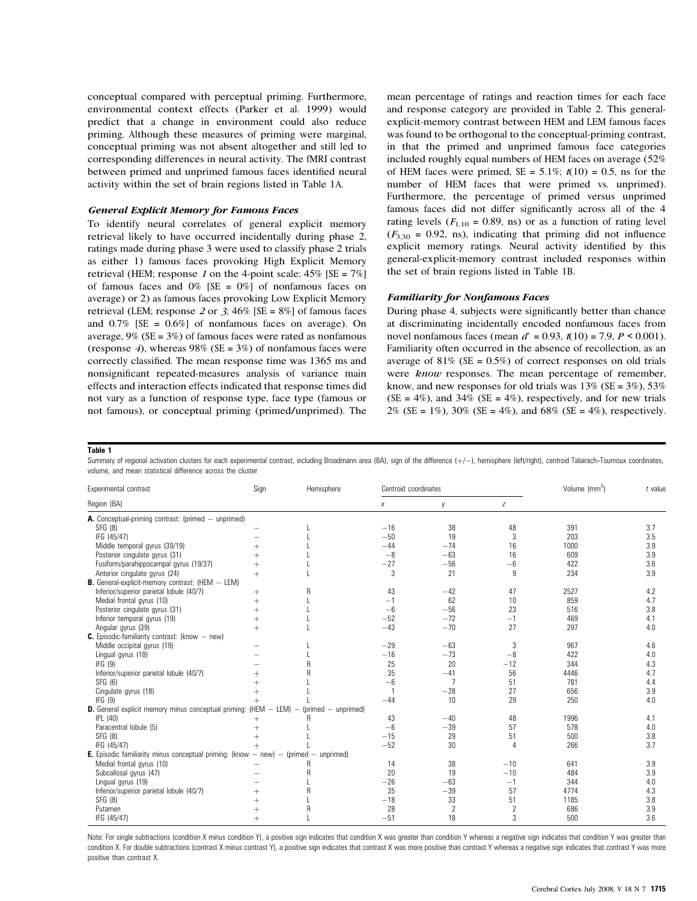conceptual compared with perceptual priming. Furthermore, environmental context effects (Parker et al. 1999) would predict that a change in environment could also reduce priming. Although these measures of priming were marginal, conceptual priming wa<sup>s</sup> not absent altogether and still led to corresponding differences in neural activity. The fMRI contrast between primed and unprimed famous faces identified neural activity within the set of brain regions listed in Table 1A.

## General Explicit Memory for Famous Faces

To identify neural correlates of general explicit memory retrieval likely to have occurred incidentally during phase 2, ratings made during phase 3 were used to classify phase 2 trial<sup>s</sup> a<sup>s</sup> either 1) famous faces provoking High Explicit Memory retrieval (HEM; response 1 on the 4-point scale;  $45\%$  [SE =  $7\%$ ] of famous faces and  $0\%$  [SE =  $0\%$ ] of nonfamous faces on average) or 2) a<sup>s</sup> famous faces provoking Low Explicit Memory retrieval (LEM; response 2 or 3;  $46\%$  [SE = 8%] of famous faces and  $0.7\%$  [SE =  $0.6\%$ ] of nonfamous faces on average). On average,  $9\%$  (SE =  $3\%$ ) of famous faces were rated as nonfamous (response 4), whereas 98% (SE =  $3\%$ ) of nonfamous faces were correctly classified. The mean response time wa<sup>s</sup> 1365 ms and nonsignificant repeated-measures analysi<sup>s</sup> of variance main effects and interaction effects indicated that response times did not vary a<sup>s</sup> a function of response type, face type (famous or not famous), or conceptual priming (primed/unprimed). The

mean percentage of ratings and reaction times for each face and response category are provided in Table 2. Thi<sup>s</sup> generalexplicit-memory contrast between HEM and LEM famous faces wa<sup>s</sup> found to be orthogonal to the conceptual-priming contrast, in that the primed and unprimed famous face categories included roughly equal number<sup>s</sup> of HEM faces on average (52% of HEM faces were primed,  $SE = 5.1\%$ ;  $t(10) = 0.5$ , ns for the number of HEM faces that were primed vs. unprimed). Furthermore, the percentage of primed versus unprimed famous faces did not differ <sup>s</sup>ignificantly across all of the 4 rating levels ( $F_{1,10} = 0.89$ , ns) or as a function of rating level  $(F_{3,30} = 0.92, \text{ ns})$ , indicating that priming did not influence explicit memory ratings. Neural activity identified by thi<sup>s</sup> general-explicit-memory contrast included responses within the set of brain regions listed in Table 1B.

## Familiarity for Nonfamous Faces

During phase 4, subjects were <sup>s</sup>ignificantly better than chance at discriminating incidentally encoded nonfamous faces from novel nonfamous faces (mean  $d' = 0.93$ ,  $t(10) = 7.9$ ,  $P \le 0.001$ ). Familiarity often occurred in the absence of recollection, a<sup>s</sup> an average of  $81\%$  (SE = 0.5%) of correct responses on old trials were know responses. The mean percentage of remember, know, and new responses for old trials was  $13\%$  (SE =  $3\%$ ),  $53\%$  $(SE = 4\%)$ , and 34%  $(SE = 4\%)$ , respectively, and for new trials 2% (SE =  $1\%$ ), 30% (SE =  $4\%$ ), and 68% (SE =  $4\%$ ), respectively.

## Table 1

Summary of regional activation clusters for each experimental contrast, including Broadmann area (BA), sign of the difference  $(+/-)$ , hemisphere (left/right), centroid Talairach-Tournoux coordinates, volume, and mean statistical difference across the cluster

| Experimental contrast                                                                               | Sign      | Hemisphere | Centroid coordinates |                | Volume (mm <sup>3</sup> ) | $t$ value |     |
|-----------------------------------------------------------------------------------------------------|-----------|------------|----------------------|----------------|---------------------------|-----------|-----|
| Region (BA)                                                                                         |           |            | $\chi$               | V              | Z                         |           |     |
| A. Conceptual-priming contrast: (primed – unprimed)                                                 |           |            |                      |                |                           |           |     |
| SFG (8)                                                                                             |           |            | $-16$                | 38             | 48                        | 391       | 3.7 |
| IFG (45/47)                                                                                         |           |            | $-50$                | 19             | 3                         | 203       | 3.5 |
| Middle temporal gyrus (39/19)                                                                       | $+$       |            | $-44$                | $-74$          | 16                        | 1000      | 3.9 |
| Posterior cingulate gyrus (31)                                                                      | $+$       |            | $-8$                 | $-63$          | 16                        | 609       | 3.9 |
| Fusiform/parahippocampal gyrus (19/37)                                                              | $+$       |            | $-27$                | $-56$          | $-6$                      | 422       | 3.6 |
| Anterior cingulate gyrus (24)                                                                       | $+$       |            | 3                    | 21             | 9                         | 234       | 3.9 |
| <b>B.</b> General-explicit-memory contrast: $(HEM - LEM)$                                           |           |            |                      |                |                           |           |     |
| Inferior/superior parietal lobule (40/7)                                                            | $^{+}$    |            | 43                   | $-42$          | 47                        | 2527      | 4.2 |
| Medial frontal gyrus (10)                                                                           | $^{+}$    |            | $-1$                 | 62             | 10                        | 859       | 4.7 |
| Posterior cingulate gyrus (31)                                                                      | $\ddot{}$ |            | $-6$                 | $-56$          | 23                        | 516       | 3.8 |
| Inferior temporal gyrus (19)                                                                        | $+$       |            | $-52$                | $-72$          | $-1$                      | 469       | 4.1 |
| Angular gyrus (39)                                                                                  | $\ddot{}$ |            | $-43$                | $-70$          | 27                        | 297       | 4.0 |
| <b>C.</b> Episodic-familiarity contrast: (know $-$ new)                                             |           |            |                      |                |                           |           |     |
| Middle occipital gyrus (19)                                                                         |           |            | $-29$                | $-63$          | 3                         | 967       | 4.6 |
| Lingual gyrus (18)                                                                                  |           |            | $-16$                | $-73$          | $-8$                      | 422       | 4.0 |
| IFG(9)                                                                                              |           |            | 25                   | 20             | $-12$                     | 344       | 4.3 |
| Inferior/superior parietal lobule (40/7)                                                            |           |            | 35                   | $-41$          | 56                        | 4446      | 4.7 |
| SFG (6)                                                                                             | $^{+}$    |            | $-6$                 | 7              | 51                        | 781       | 4.4 |
| Cingulate gyrus (18)                                                                                |           |            |                      | $-28$          | 27                        | 656       | 3.9 |
| IFG(9)                                                                                              | $+$       |            | $-44$                | 10             | 29                        | 250       | 4.0 |
| <b>D.</b> General explicit memory minus conceptual priming: (HEM $-$ LEM) $-$ (primed $-$ unprimed) |           |            |                      |                |                           |           |     |
| IPL (40)                                                                                            | $^{+}$    |            | 43                   | $-40$          | 48                        | 1996      | 4.1 |
| Paracentral lobule (5)                                                                              | $\ddot{}$ |            | $-6$                 | $-39$          | 57                        | 578       | 4.0 |
| SFG (8)                                                                                             | $\ddot{}$ |            | $-15$                | 29             | 51                        | 500       | 3.8 |
| IFG (45/47)                                                                                         | $+$       |            | $-52$                | 30             | 4                         | 266       | 3.7 |
| <b>E.</b> Episodic familiarity minus conceptual priming: (know $-$ new) $-$ (primed $-$ unprimed)   |           |            |                      |                |                           |           |     |
| Medial frontal gyrus (10)                                                                           |           | R          | 14                   | 38             | $-10$                     | 641       | 3.9 |
| Subcallosal gyrus (47)                                                                              |           | R          | 20                   | 19             | $-10$                     | 484       | 3.9 |
| Lingual gyrus (19)                                                                                  |           |            | $-26$                | $-63$          | $-1$                      | 344       | 4.0 |
| Inferior/superior parietal lobule (40/7)                                                            | $^{+}$    |            | 35                   | $-39$          | 57                        | 4774      | 4.3 |
| SFG (8)                                                                                             | $+$       |            | $-18$                | 33             | 51                        | 1185      | 3.8 |
| Putamen                                                                                             | $\ddot{}$ |            | 28                   | $\overline{2}$ | $\overline{2}$            | 686       | 3.9 |
| IFG (45/47)                                                                                         | $+$       |            | $-51$                | 18             | 3                         | 500       | 3.6 |

Note: For single subtractions (condition X minus condition Y), a positive sign indicates that condition X was greater than condition Y whereas a negative sign indicates that condition Y was greater than condition X. For double subtractions (contrast X minus contrast Y), a positive sign indicates that contrast X was more positive than contrast Y whereas a negative sign indicates that contrast Y was more positive than contrast X.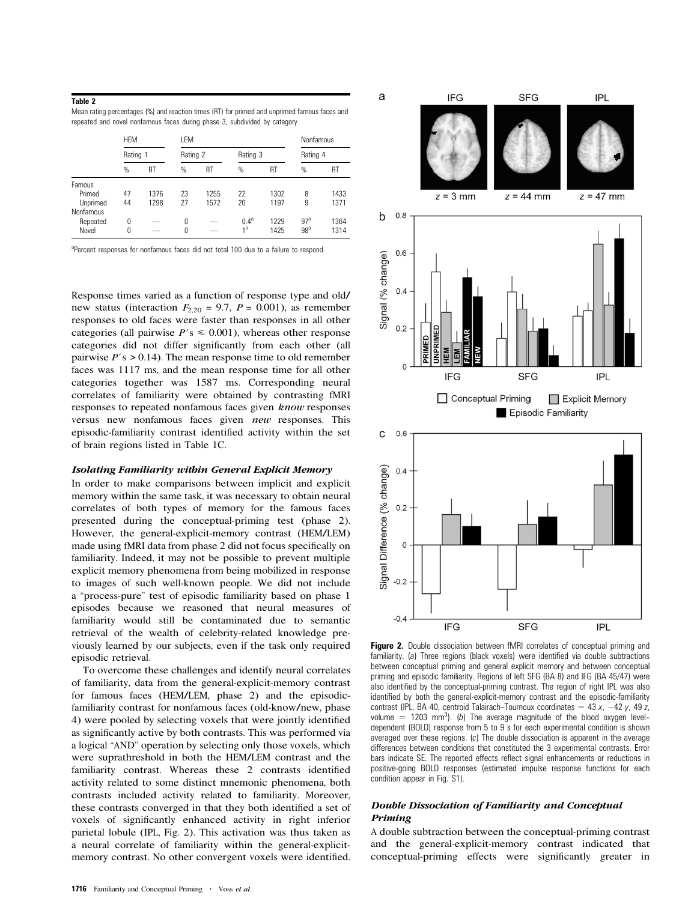## Table 2

| Mean rating percentages (%) and reaction times (RT) for primed and unprimed famous faces and |  |
|----------------------------------------------------------------------------------------------|--|
| repeated and novel nonfamous faces during phase 3, subdivided by category                    |  |

|           | <b>HEM</b><br>Rating 1 |      | LEM      |      |                |      | Nonfamous       |      |
|-----------|------------------------|------|----------|------|----------------|------|-----------------|------|
|           |                        |      | Rating 2 |      | Rating 3       |      | Rating 4        |      |
|           | $\%$                   | RT   | $\%$     | RT   | %              | RT   | %               | RT   |
| Famous    |                        |      |          |      |                |      |                 |      |
| Primed    | 47                     | 1376 | 23       | 1255 | 22             | 1302 | 8               | 1433 |
| Unprimed  | 44                     | 1298 | 27       | 1572 | 20             | 1197 | 9               | 1371 |
| Nonfamous |                        |      |          |      |                |      |                 |      |
| Repeated  | 0                      |      | 0        |      | $0.4^{\rm a}$  | 1229 | 97 <sup>a</sup> | 1364 |
| Novel     | 0                      |      | 0        |      | 1 <sup>a</sup> | 1425 | 98 <sup>a</sup> | 1314 |

<sup>a</sup>Percent responses for nonfamous faces did not total 100 due to a failure to respond.

Response times varied a<sup>s</sup> a function of response type and old/ new status (interaction  $F_{2,20} = 9.7$ ,  $P = 0.001$ ), as remember responses to old faces were faster than responses in all other categories (all pairwise  $P' s \leq 0.001$ ), whereas other response categories did not differ <sup>s</sup>ignificantly from each other (all pairwise  $P'$ s > 0.14). The mean response time to old remember faces wa<sup>s</sup> 1117 ms, and the mean response time for all other categories together wa<sup>s</sup> 1587 ms. Corresponding neural correlates of familiarity were obtained by contrasting fMRI responses to repeated nonfamous faces <sup>g</sup>iven know responses versus new nonfamous faces given new responses. This episodic-familiarity contrast identified activity within the set of brain regions listed in Table 1C.

#### Isolating Familiarity within General Explicit Memory

In order to make comparisons between implicit and explicit memory within the <sup>s</sup>ame task, it wa<sup>s</sup> necessary to obtain neural correlates of both types of memory for the famous faces presented during the conceptual-priming test (phase 2). However, the general-explicit-memory contrast (HEM/LEM) made using fMRI data from phase 2 did not focus specifically on familiarity. Indeed, it may not be possible to prevent multiple explicit memory phenomena from being mobilized in response to images of such well-known people. We did not include a ''process-pure'' test of episodic familiarity based on phase 1 episodes because we reasoned that neural measures of familiarity would still be contaminated due to semantic retrieval of the wealth of celebrity-related knowledge previously learned by our subjects, even if the task only required episodic retrieval.

To overcome these challenges and identify neural correlates of familiarity, data from the general-explicit-memory contrast for famous faces (HEM/LEM, phase 2) and the episodicfamiliarity contrast for nonfamous faces (old-know/new, phase 4) were pooled by selecting voxel<sup>s</sup> that were jointly identified a<sup>s</sup> <sup>s</sup>ignificantly active by both contrasts. Thi<sup>s</sup> wa<sup>s</sup> performed via a logical ''AND'' operation by selecting only those voxels, which were suprathreshold in both the HEM/LEM contrast and the familiarity contrast. Wherea<sup>s</sup> these 2 contrasts identified activity related to some distinct mnemonic phenomena, both contrasts included activity related to familiarity. Moreover, these contrasts converged in that they both identified a set of voxel<sup>s</sup> of <sup>s</sup>ignificantly enhanced activity in right inferior parietal lobule (IPL, Fig. 2). Thi<sup>s</sup> activation wa<sup>s</sup> thus taken a<sup>s</sup> a neural correlate of familiarity within the general-explicitmemory contrast. No other convergent voxel<sup>s</sup> were identified.



Figure 2. Double dissociation between fMRI correlates of conceptual priming and familiarity. (a) Three regions (black voxels) were identified via double subtractions between conceptual priming and general explicit memory and between conceptual priming and episodic familiarity. Regions of left SFG (BA 8) and IFG (BA 45/47) were also identified by the conceptual-priming contrast. The region of right IPL was also identified by both the general-explicit-memory contrast and the episodic-familiarity contrast (IPL, BA 40, centroid Talairach-Tournoux coordinates  $= 43 x$ ,  $-42 y$ , 49 z, volume  $=$  1203 mm<sup>3</sup>). (b) The average magnitude of the blood oxygen leveldependent (BOLD) response from 5 to 9 s for each experimental condition is shown averaged over these regions. (c) The double dissociation is apparent in the average differences between conditions that constituted the 3 experimental contrasts. Error bars indicate SE. The reported effects reflect signal enhancements or reductions in positive-going BOLD responses (estimated impulse response functions for each condition appear in Fig. S1).

## Double Dissociation of Familiarity and Conceptual Priming

A double subtraction between the conceptual-priming contrast and the general-explicit-memory contrast indicated that conceptual-priming effects were <sup>s</sup>ignificantly <sup>g</sup>reater in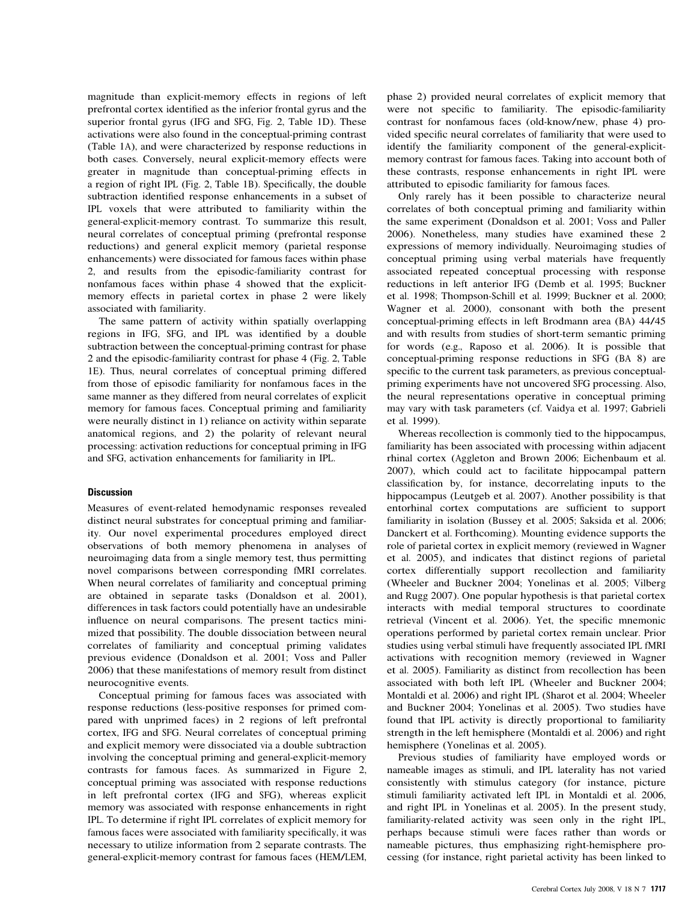magnitude than explicit-memory effects in regions of left prefrontal cortex identified a<sup>s</sup> the inferior frontal <sup>g</sup>yrus and the superior frontal <sup>g</sup>yrus (IFG and SFG, Fig. 2, Table 1D). These activations were also found in the conceptual-priming contrast (Table 1A), and were characterized by response reductions in both cases. Conversely, neural explicit-memory effects were <sup>g</sup>reater in magnitude than conceptual-priming effects in a region of right IPL (Fig. 2, Table 1B). Specifically, the double subtraction identified response enhancements in a subset of IPL voxel<sup>s</sup> that were attributed to familiarity within the general-explicit-memory contrast. To summarize thi<sup>s</sup> result, neural correlates of conceptual priming (prefrontal response reductions) and general explicit memory (parietal response enhancements) were dissociated for famous faces within phase 2, and results from the episodic-familiarity contrast for nonfamous faces within phase 4 showed that the explicitmemory effects in parietal cortex in phase 2 were likely associated with familiarity.

The <sup>s</sup>ame pattern of activity within spatially overlapping regions in IFG, SFG, and IPL wa<sup>s</sup> identified by a double subtraction between the conceptual-priming contrast for phase 2 and the episodic-familiarity contrast for phase 4 (Fig. 2, Table 1E). Thus, neural correlates of conceptual priming differed from those of episodic familiarity for nonfamous faces in the <sup>s</sup>ame manner a<sup>s</sup> they differed from neural correlates of explicit memory for famous faces. Conceptual priming and familiarity were neurally distinct in 1) reliance on activity within separate anatomical regions, and 2) the polarity of relevant neural processing: activation reductions for conceptual priming in IFG and SFG, activation enhancements for familiarity in IPL.

## **Discussion**

Measures of event-related hemodynamic responses revealed distinct neural substrates for conceptual priming and familiarity. Our novel experimental procedures employed direct observations of both memory phenomena in analyses of neuroimaging data from a <sup>s</sup>ingle memory test, thus permitting novel comparisons between corresponding fMRI correlates. When neural correlates of familiarity and conceptual priming are obtained in separate task<sup>s</sup> (Donaldson et al. 2001), differences in task factor<sup>s</sup> could potentially have an undesirable influence on neural comparisons. The present tactics minimized that possibility. The double dissociation between neural correlates of familiarity and conceptual priming validates previous evidence (Donaldson et al. 2001; Voss and Paller 2006) that these manifestations of memory result from distinct neurocognitive events.

Conceptual priming for famous faces wa<sup>s</sup> associated with response reductions (less-positive responses for primed compared with unprimed faces) in 2 regions of left prefrontal cortex, IFG and SFG. Neural correlates of conceptual priming and explicit memory were dissociated via a double subtraction involving the conceptual priming and general-explicit-memory contrasts for famous faces. A<sup>s</sup> summarized in Figure 2, conceptual priming wa<sup>s</sup> associated with response reductions in left prefrontal cortex (IFG and SFG), wherea<sup>s</sup> explicit memory wa<sup>s</sup> associated with response enhancements in right IPL. To determine if right IPL correlates of explicit memory for famous faces were associated with familiarity specifically, it wa<sup>s</sup> necessary to utilize information from 2 separate contrasts. The general-explicit-memory contrast for famous faces (HEM/LEM,

phase 2) provided neural correlates of explicit memory that were not specific to familiarity. The episodic-familiarity contrast for nonfamous faces (old-know/new, phase 4) provided specific neural correlates of familiarity that were used to identify the familiarity component of the general-explicitmemory contrast for famous faces. Taking into account both of these contrasts, response enhancements in right IPL were attributed to episodic familiarity for famous faces.

Only rarely ha<sup>s</sup> it been possible to characterize neural correlates of both conceptual priming and familiarity within the <sup>s</sup>ame experiment (Donaldson et al. 2001; Voss and Paller 2006). Nonetheless, many studies have examined these 2 expressions of memory individually. Neuroimaging studies of conceptual priming using verbal material<sup>s</sup> have frequently associated repeated conceptual processing with response reductions in left anterior IFG (Demb et al. 1995; Buckner et al. 1998; Thompson-Schill et al. 1999; Buckner et al. 2000; Wagner et al. 2000), consonant with both the present conceptual-priming effects in left Brodmann area (BA) 44/45 and with results from studies of short-term semantic priming for word<sup>s</sup> (e.g., Raposo et al. 2006). It i<sup>s</sup> possible that conceptual-priming response reductions in SFG (BA 8) are specific to the current task parameters, a<sup>s</sup> previous conceptualpriming experiments have not uncovered SFG processing. Also, the neural representations operative in conceptual priming may vary with task parameter<sup>s</sup> (cf. Vaidya et al. 1997; Gabrieli et al. 1999).

Wherea<sup>s</sup> recollection i<sup>s</sup> commonly tied to the hippocampus, familiarity ha<sup>s</sup> been associated with processing within adjacent rhinal cortex (Aggleton and Brown 2006; Eichenbaum et al. 2007), which could act to facilitate hippocampal pattern classification by, for instance, decorrelating inputs to the hippocampus (Leutgeb et al. 2007). Another possibility is that entorhinal cortex computations are sufficient to support familiarity in isolation (Bussey et al. 2005; Saksida et al. 2006; Danckert et al. Forthcoming). Mounting evidence supports the role of parietal cortex in explicit memory (reviewed in Wagner et al. 2005), and indicates that distinct regions of parietal cortex differentially support recollection and familiarity (Wheeler and Buckner 2004; Yonelina<sup>s</sup> et al. 2005; Vilber<sup>g</sup> and Rugg 2007). One popular hypothesi<sup>s</sup> i<sup>s</sup> that parietal cortex interacts with medial temporal structures to coordinate retrieval (Vincent et al. 2006). Yet, the specific mnemonic operations performed by parietal cortex remain unclear. Prior studies using verbal stimuli have frequently associated IPL fMRI activations with recognition memory (reviewed in Wagner et al. 2005). Familiarity a<sup>s</sup> distinct from recollection ha<sup>s</sup> been associated with both left IPL (Wheeler and Buckner 2004; Montaldi et al. 2006) and right IPL (Sharot et al. 2004; Wheeler and Buckner 2004; Yonelina<sup>s</sup> et al. 2005). Two studies have found that IPL activity i<sup>s</sup> directly proportional to familiarity strength in the left hemisphere (Montaldi et al. 2006) and right hemisphere (Yonelina<sup>s</sup> et al. 2005).

Previous studies of familiarity have employed word<sup>s</sup> or nameable images a<sup>s</sup> stimuli, and IPL laterality ha<sup>s</sup> not varied consistently with stimulus category (for instance, picture stimuli familiarity activated left IPL in Montaldi et al. 2006, and right IPL in Yonelina<sup>s</sup> et al. 2005). In the present study, familiarity-related activity wa<sup>s</sup> seen only in the right IPL, perhaps because stimuli were faces rather than word<sup>s</sup> or nameable pictures, thus emphasizing right-hemisphere processing (for instance, right parietal activity ha<sup>s</sup> been linked to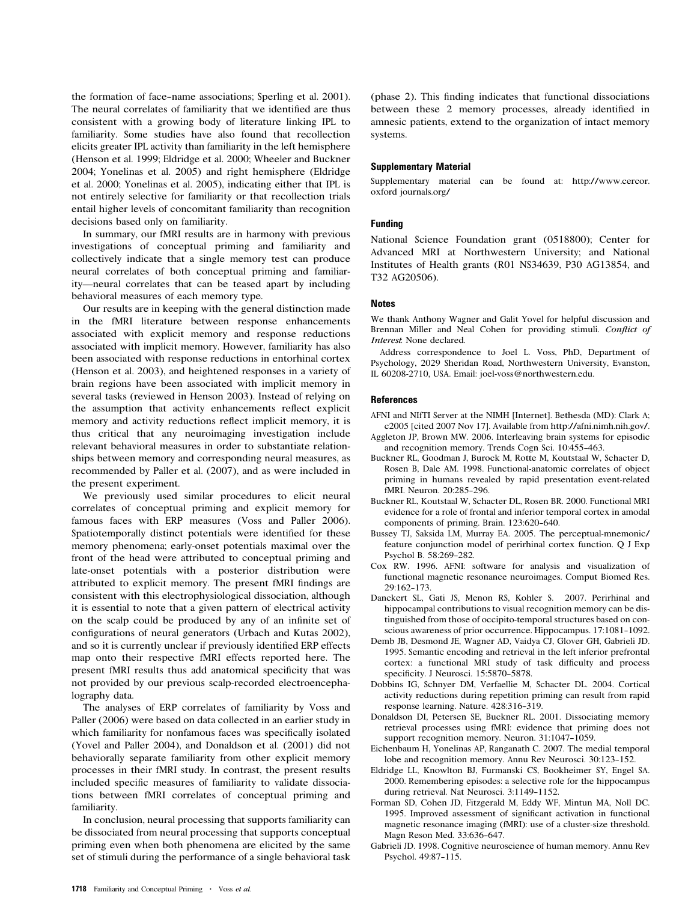the formation of face--name associations; Sperling et al. 2001). The neural correlates of familiarity that we identified are thus consistent with a <sup>g</sup>rowing body of literature linking IPL to familiarity. Some studies have also found that recollection elicits <sup>g</sup>reater IPL activity than familiarity in the left hemisphere (Henson et al. 1999; Eldridge et al. 2000; Wheeler and Buckner 2004; Yonelina<sup>s</sup> et al. 2005) and right hemisphere (Eldridge et al. 2000; Yonelina<sup>s</sup> et al. 2005), indicating either that IPL i<sup>s</sup> not entirely selective for familiarity or that recollection trial<sup>s</sup> entail higher level<sup>s</sup> of concomitant familiarity than recognition decisions based only on familiarity.

In summary, our fMRI results are in harmony with previous investigations of conceptual priming and familiarity and collectively indicate that a <sup>s</sup>ingle memory test can produce neural correlates of both conceptual priming and familiarity—neural correlates that can be teased apart by including behavioral measures of each memory type.

Our results are in keeping with the general distinction made in the fMRI literature between response enhancements associated with explicit memory and response reductions associated with implicit memory. However, familiarity ha<sup>s</sup> also been associated with response reductions in entorhinal cortex (Henson et al. 2003), and heightened responses in a variety of brain regions have been associated with implicit memory in several task<sup>s</sup> (reviewed in Henson 2003). Instead of relying on the assumption that activity enhancements reflect explicit memory and activity reductions reflect implicit memory, it i<sup>s</sup> thus critical that any neuroimaging investigation include relevant behavioral measures in order to substantiate relationships between memory and corresponding neural measures, a<sup>s</sup> recommended by Paller et al. (2007), and a<sup>s</sup> were included in the present experiment.

We previously used <sup>s</sup>imilar procedures to elicit neural correlates of conceptual priming and explicit memory for famous faces with ERP measures (Voss and Paller 2006). Spatiotemporally distinct potential<sup>s</sup> were identified for these memory phenomena; early-onset potential<sup>s</sup> maximal over the front of the head were attributed to conceptual priming and late-onset potential<sup>s</sup> with a posterior distribution were attributed to explicit memory. The present fMRI findings are consistent with thi<sup>s</sup> electrophysiological dissociation, although it i<sup>s</sup> essential to note that a <sup>g</sup>iven pattern of electrical activity on the scalp could be produced by any of an infinite set of configurations of neural generator<sup>s</sup> (Urbach and Kuta<sup>s</sup> 2002), and so it i<sup>s</sup> currently unclear if previously identified ERP effects map onto their respective fMRI effects reported here. The present fMRI results thus add anatomical specificity that wa<sup>s</sup> not provided by our previous scalp-recorded electroencephalography data.

The analyses of ERP correlates of familiarity by Voss and Paller (2006) were based on data collected in an earlier study in which familiarity for nonfamous faces wa<sup>s</sup> specifically isolated (Yovel and Paller 2004), and Donaldson et al. (2001) did not behaviorally separate familiarity from other explicit memory processes in their fMRI study. In contrast, the present results included specific measures of familiarity to validate dissociations between fMRI correlates of conceptual priming and familiarity.

In conclusion, neural processing that supports familiarity can be dissociated from neural processing that supports conceptual priming even when both phenomena are elicited by the <sup>s</sup>ame set of stimuli during the performance of a <sup>s</sup>ingle behavioral task (phase 2). Thi<sup>s</sup> finding indicates that functional dissociations between these 2 memory processes, already identified in amnesic patients, extend to the organization of intact memory systems.

## Supplementary Material

Supplementary material can be found at: http://www.cercor. oxford journals.org/

## Funding

National Science Foundation <sup>g</sup>rant (0518800); Center for Advanced MRI at Northwestern University; and National Institutes of Health <sup>g</sup>rants (R01 NS34639, P30 AG13854, and T32 AG20506).

## **Notes**

We thank Anthony Wagner and Galit Yovel for helpful discussion and Brenna<sup>n</sup> Miller an<sup>d</sup> Neal Cohen for providing stimuli. Conflict of Interest: None <sup>d</sup>eclared.

Address correspondence to Joel L. Voss, PhD, Department of Psychology, 2029 Sheridan Road, Northwestern University, Evanston, IL 60208-2710, USA. Email: joel-voss@northwestern.edu.

## **References**

- AFNI and NIfTI Server at the NIMH [Internet]. Bethesda (MD): Clark A; c2005 [cited 2007 Nov 17]. Available from http://afni.nimh.nih.gov/.
- Aggleton JP, Brown MW. 2006. Interleaving brain <sup>s</sup>ystems for episodic and recognition memory. Trends Cogn Sci. 10:455-463.
- Buckner RL, Goodman J, Burock M, Rotte M, Koutstaal W, Schacter D, Rosen B, Dale AM. 1998. Functional-anatomic correlates of object priming in humans revealed by rapid presentation event-related fMRI. Neuron. 20:285-296.
- Buckner RL, Koutstaal W, Schacter DL, Rosen BR. 2000. Functional MRI evidence for a role of frontal and inferior temporal cortex in amodal components of priming. Brain. 123:620-640.
- Bussey TJ, Saksida LM, Murray EA. 2005. The perceptual-mnemonic/ feature conjunction model of perirhinal cortex function. Q J Exp Psychol B. 58:269-282.
- Cox RW. 1996. AFNI: software for analysi<sup>s</sup> and visualization of functional magnetic resonance neuroimages. Comput Biomed Res. 29:162--173.
- Danckert SL, Gati JS, Menon RS, Kohler S. 2007. Perirhinal and hippocampal contributions to visual recognition memory can be distinguished from those of occipito-temporal structures based on conscious awareness of prior occurrence. Hippocampus. 17:1081-1092.
- Demb JB, Desmond JE, Wagner AD, Vaidya CJ, Glover GH, Gabrieli JD. 1995. Semantic encoding and retrieval in the left inferior prefrontal cortex: a functional MRI study of task difficulty and process specificity. J Neurosci. 15:5870-5878.
- Dobbins IG, Schnyer DM, Verfaellie M, Schacter DL. 2004. Cortical activity reductions during repetition priming can result from rapid response learning. Nature. 428:316-319.
- Donaldson DI, Petersen SE, Buckner RL. 2001. Dissociating memory retrieval processes using fMRI: evidence that priming does not support recognition memory. Neuron. 31:1047-1059.
- Eichenbaum H, Yonelina<sup>s</sup> AP, Ranganath C. 2007. The medial temporal lobe and recognition memory. Annu Rev Neurosci. 30:123-152.
- Eldridge LL, Knowlton BJ, Furmanski CS, Bookheimer SY, Engel SA. 2000. Remembering episodes: a selective role for the hippocampus during retrieval. Nat Neurosci. 3:1149-1152.
- Forman SD, Cohen JD, Fitzgerald M, Eddy WF, Mintun MA, Noll DC. 1995. Improved assessment of <sup>s</sup>ignificant activation in functional magnetic resonance imaging (fMRI): use of a cluster-size threshold. Magn Reson Med. 33:636-647.
- Gabrieli JD. 1998. Cognitive neuroscience of human memory. Annu Rev Psychol. 49:87-115.